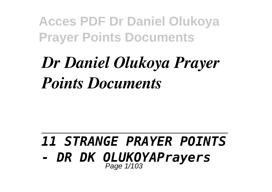# *Dr Daniel Olukoya Prayer Points Documents*

#### *11 STRANGE PRAYER POINTS - DR DK OLUKOYAPrayers* Page  $1/103$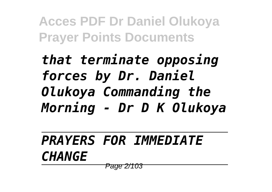*that terminate opposing forces by Dr. Daniel Olukoya Commanding the Morning - Dr D K Olukoya*

*PRAYERS FOR IMMEDIATE CHANGE* Page 2/103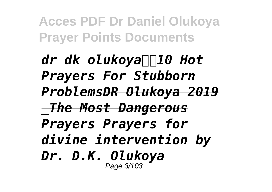*dr dk olukoya*∏∏10 Hot *Prayers For Stubborn ProblemsDR Olukoya 2019 \_The Most Dangerous Prayers Prayers for divine intervention by Dr. D.K. Olukoya* Page 3/103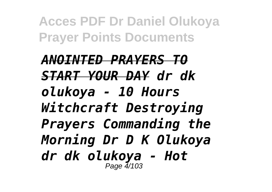*ANOINTED PRAYERS TO START YOUR DAY dr dk olukoya - 10 Hours Witchcraft Destroying Prayers Commanding the Morning Dr D K Olukoya dr dk olukoya - Hot* Page 4/103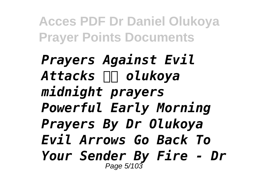*Prayers Against Evil* Attacks **III** olukoya *midnight prayers Powerful Early Morning Prayers By Dr Olukoya Evil Arrows Go Back To Your Sender By Fire - Dr* Page 5/103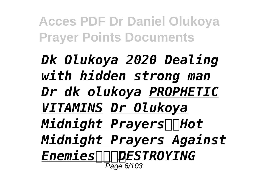*Dk Olukoya 2020 Dealing with hidden strong man Dr dk olukoya PROPHETIC VITAMINS Dr Olukoya Midnight Prayers∏Hot Midnight Prayers Against EnemiesDESTROYING* Page 6/103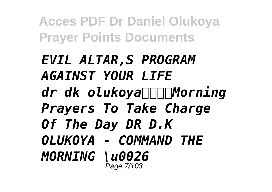## *EVIL ALTAR,S PROGRAM AGAINST YOUR LIFE*

*dr dk olukoyaMorning Prayers To Take Charge Of The Day DR D.K OLUKOYA - COMMAND THE MORNING \u0026* Page 7/103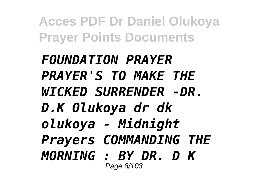*FOUNDATION PRAYER PRAYER'S TO MAKE THE WICKED SURRENDER -DR. D.K Olukoya dr dk olukoya - Midnight Prayers COMMANDING THE MORNING : BY DR. D K* Page 8/103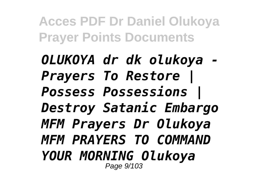*OLUKOYA dr dk olukoya - Prayers To Restore | Possess Possessions | Destroy Satanic Embargo MFM Prayers Dr Olukoya MFM PRAYERS TO COMMAND YOUR MORNING Olukoya* Page 9/103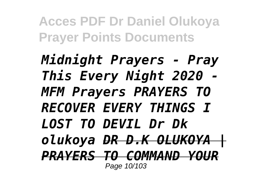*Midnight Prayers - Pray This Every Night 2020 - MFM Prayers PRAYERS TO RECOVER EVERY THINGS I LOST TO DEVIL Dr Dk olukoya DR D.K OLUKOYA |* **PRAYERS TO COMMAND YOUR** Page 10/103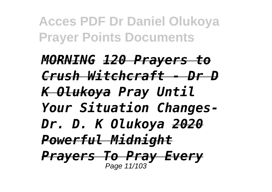*MORNING 120 Prayers to Crush Witchcraft - Dr D K Olukoya Pray Until Your Situation Changes-Dr. D. K Olukoya 2020 Powerful Midnight Prayers To Pray Every* Page 11/103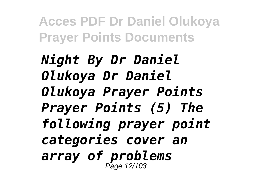*Night By Dr Daniel Olukoya Dr Daniel Olukoya Prayer Points Prayer Points (5) The following prayer point categories cover an array of problems* Page 12/103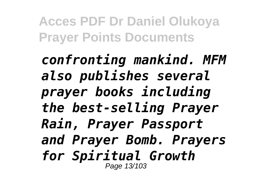*confronting mankind. MFM also publishes several prayer books including the best-selling Prayer Rain, Prayer Passport and Prayer Bomb. Prayers for Spiritual Growth* Page 13/103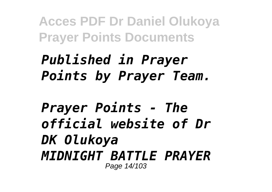## *Published in Prayer Points by Prayer Team.*

*Prayer Points - The official website of Dr DK Olukoya MIDNIGHT BATTLE PRAYER* Page 14/103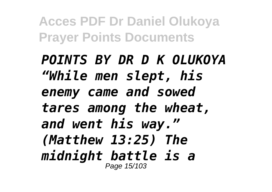*POINTS BY DR D K OLUKOYA "While men slept, his enemy came and sowed tares among the wheat, and went his way." (Matthew 13:25) The midnight battle is a* Page 15/103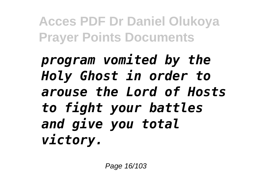*program vomited by the Holy Ghost in order to arouse the Lord of Hosts to fight your battles and give you total victory.*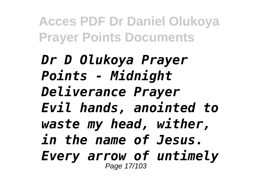*Dr D Olukoya Prayer Points - Midnight Deliverance Prayer Evil hands, anointed to waste my head, wither, in the name of Jesus. Every arrow of untimely* Page 17/103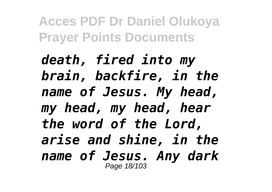*death, fired into my brain, backfire, in the name of Jesus. My head, my head, my head, hear the word of the Lord, arise and shine, in the name of Jesus. Any dark* Page 18/103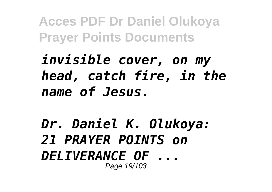*invisible cover, on my head, catch fire, in the name of Jesus.*

*Dr. Daniel K. Olukoya: 21 PRAYER POINTS on DELIVERANCE OF ...* Page 19/103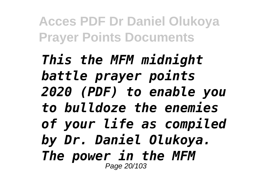*This the MFM midnight battle prayer points 2020 (PDF) to enable you to bulldoze the enemies of your life as compiled by Dr. Daniel Olukoya. The power in the MFM* Page 20/103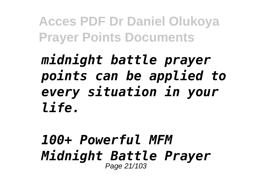### *midnight battle prayer points can be applied to every situation in your life.*

#### *100+ Powerful MFM Midnight Battle Prayer* Page 21/103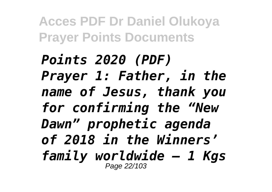*Points 2020 (PDF) Prayer 1: Father, in the name of Jesus, thank you for confirming the "New Dawn" prophetic agenda of 2018 in the Winners' family worldwide – 1 Kgs* Page 22/103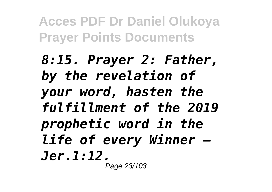*8:15. Prayer 2: Father, by the revelation of your word, hasten the fulfillment of the 2019 prophetic word in the life of every Winner – Jer.1:12.* Page 23/103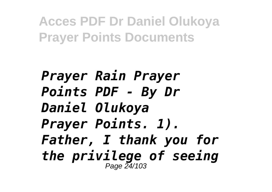*Prayer Rain Prayer Points PDF - By Dr Daniel Olukoya Prayer Points. 1). Father, I thank you for the privilege of seeing* Page 24/103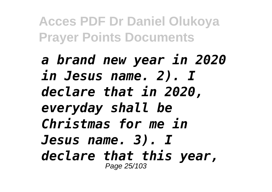*a brand new year in 2020 in Jesus name. 2). I declare that in 2020, everyday shall be Christmas for me in Jesus name. 3). I declare that this year,* Page 25/103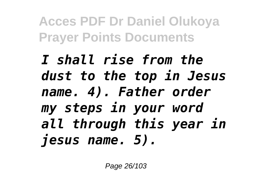*I shall rise from the dust to the top in Jesus name. 4). Father order my steps in your word all through this year in jesus name. 5).*

Page 26/103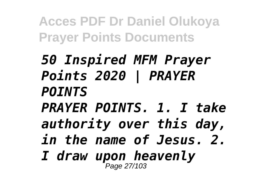*50 Inspired MFM Prayer Points 2020 | PRAYER POINTS PRAYER POINTS. 1. I take authority over this day, in the name of Jesus. 2. I draw upon heavenly* Page 27/103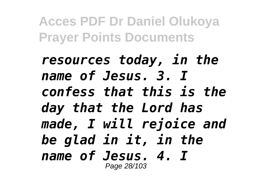*resources today, in the name of Jesus. 3. I confess that this is the day that the Lord has made, I will rejoice and be glad in it, in the name of Jesus. 4. I* Page 28/103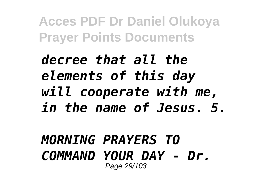### *decree that all the elements of this day will cooperate with me, in the name of Jesus. 5.*

#### *MORNING PRAYERS TO COMMAND YOUR DAY - Dr.* Page 29/103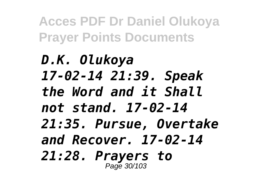*D.K. Olukoya 17-02-14 21:39. Speak the Word and it Shall not stand. 17-02-14 21:35. Pursue, Overtake and Recover. 17-02-14 21:28. Prayers to* Page 30/103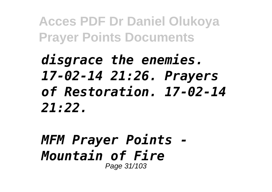## *disgrace the enemies. 17-02-14 21:26. Prayers of Restoration. 17-02-14 21:22.*

#### *MFM Prayer Points - Mountain of Fire* Page 31/103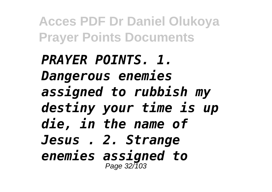*PRAYER POINTS. 1. Dangerous enemies assigned to rubbish my destiny your time is up die, in the name of Jesus . 2. Strange enemies assigned to* Page 32/103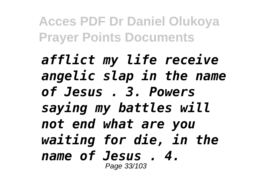*afflict my life receive angelic slap in the name of Jesus . 3. Powers saying my battles will not end what are you waiting for die, in the name of Jesus . 4.* Page 33/103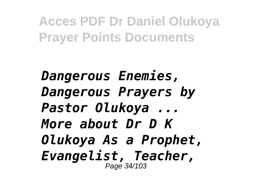*Dangerous Enemies, Dangerous Prayers by Pastor Olukoya ... More about Dr D K Olukoya As a Prophet, Evangelist, Teacher,* Page 34/103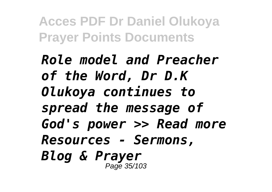*Role model and Preacher of the Word, Dr D.K Olukoya continues to spread the message of God's power >> Read more Resources - Sermons, Blog & Prayer* Page 35/103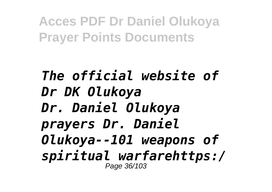#### *The official website of Dr DK Olukoya Dr. Daniel Olukoya prayers Dr. Daniel Olukoya--101 weapons of spiritual warfarehttps:/* Page 36/103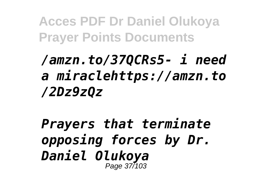# */amzn.to/37QCRs5- i need a miraclehttps://amzn.to /2Dz9zQz*

*Prayers that terminate opposing forces by Dr. Daniel Olukoya* Page 37/103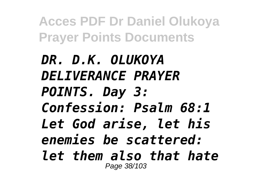*DR. D.K. OLUKOYA DELIVERANCE PRAYER POINTS. Day 3: Confession: Psalm 68:1 Let God arise, let his enemies be scattered: let them also that hate* Page 38/103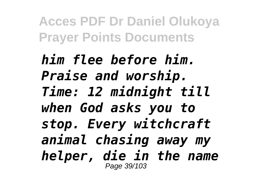*him flee before him. Praise and worship. Time: 12 midnight till when God asks you to stop. Every witchcraft animal chasing away my helper, die in the name* Page 39/103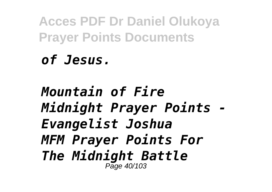## *of Jesus.*

## *Mountain of Fire Midnight Prayer Points - Evangelist Joshua MFM Prayer Points For The Midnight Battle* Page 40/103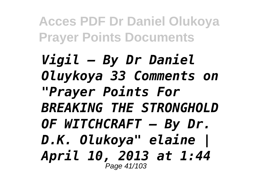*Vigil – By Dr Daniel Oluykoya 33 Comments on "Prayer Points For BREAKING THE STRONGHOLD OF WITCHCRAFT – By Dr. D.K. Olukoya" elaine | April 10, 2013 at 1:44* Page 41/103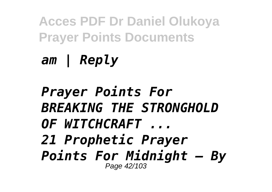*am | Reply*

*Prayer Points For BREAKING THE STRONGHOLD OF WITCHCRAFT ... 21 Prophetic Prayer Points For Midnight – By* Page 42/103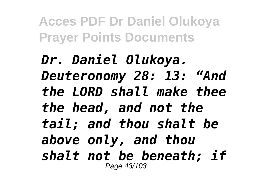*Dr. Daniel Olukoya. Deuteronomy 28: 13: "And the LORD shall make thee the head, and not the tail; and thou shalt be above only, and thou shalt not be beneath; if* Page 43/103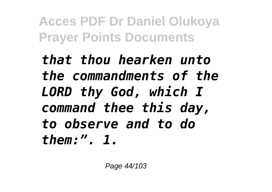*that thou hearken unto the commandments of the LORD thy God, which I command thee this day, to observe and to do them:". 1.*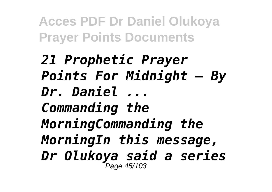*21 Prophetic Prayer Points For Midnight – By Dr. Daniel ... Commanding the MorningCommanding the MorningIn this message, Dr Olukoya said a series* Page 45/103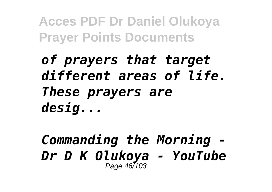# *of prayers that target different areas of life. These prayers are desig...*

#### *Commanding the Morning - Dr D K Olukoya - YouTube* Page 46/103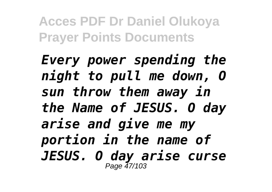*Every power spending the night to pull me down, O sun throw them away in the Name of JESUS. O day arise and give me my portion in the name of JESUS. O day arise curse* Page 47/103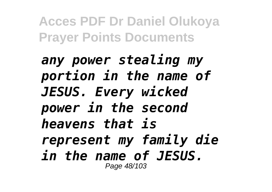*any power stealing my portion in the name of JESUS. Every wicked power in the second heavens that is represent my family die in the name of JESUS.* Page 48/103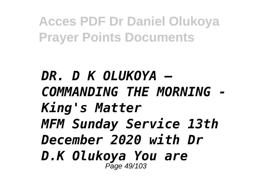*DR. D K OLUKOYA – COMMANDING THE MORNING - King's Matter MFM Sunday Service 13th December 2020 with Dr D.K Olukoya You are* Page 49/103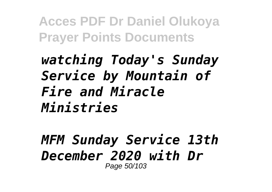## *watching Today's Sunday Service by Mountain of Fire and Miracle Ministries*

#### *MFM Sunday Service 13th December 2020 with Dr* Page 50/103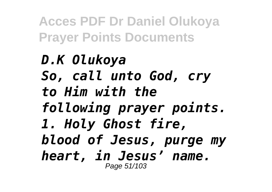## *D.K Olukoya So, call unto God, cry to Him with the following prayer points. 1. Holy Ghost fire, blood of Jesus, purge my heart, in Jesus' name.* Page 51/103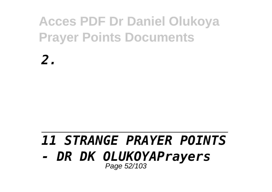*2.*

### *11 STRANGE PRAYER POINTS - DR DK OLUKOYAPrayers* Page 52/103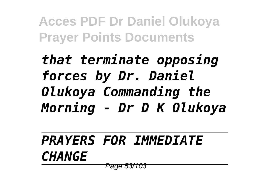*that terminate opposing forces by Dr. Daniel Olukoya Commanding the Morning - Dr D K Olukoya*

*PRAYERS FOR IMMEDIATE CHANGE* Page 53/103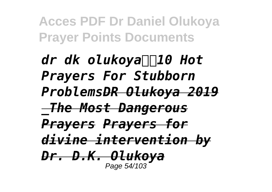*dr dk olukoya*∏∏10 Hot *Prayers For Stubborn ProblemsDR Olukoya 2019 \_The Most Dangerous Prayers Prayers for divine intervention by Dr. D.K. Olukoya* Page 54/103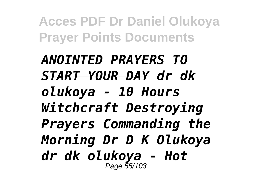*ANOINTED PRAYERS TO START YOUR DAY dr dk olukoya - 10 Hours Witchcraft Destroying Prayers Commanding the Morning Dr D K Olukoya dr dk olukoya - Hot* Page 55/103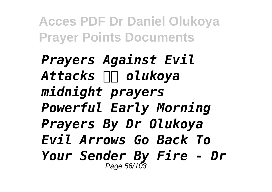*Prayers Against Evil* Attacks **III** olukoya *midnight prayers Powerful Early Morning Prayers By Dr Olukoya Evil Arrows Go Back To Your Sender By Fire - Dr* Page 56/103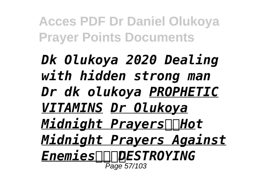*Dk Olukoya 2020 Dealing with hidden strong man Dr dk olukoya PROPHETIC VITAMINS Dr Olukoya Midnight Prayers∏Hot Midnight Prayers Against EnemiesDESTROYING* Page 57/103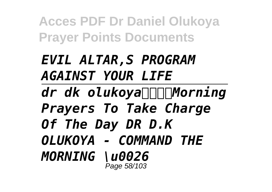# *EVIL ALTAR,S PROGRAM AGAINST YOUR LIFE*

*dr dk olukoyaMorning Prayers To Take Charge Of The Day DR D.K OLUKOYA - COMMAND THE MORNING \u0026* Page 58/103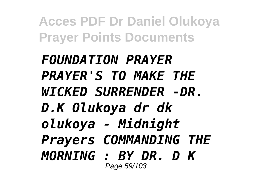*FOUNDATION PRAYER PRAYER'S TO MAKE THE WICKED SURRENDER -DR. D.K Olukoya dr dk olukoya - Midnight Prayers COMMANDING THE MORNING : BY DR. D K* Page 59/103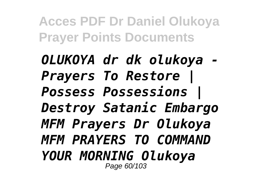*OLUKOYA dr dk olukoya - Prayers To Restore | Possess Possessions | Destroy Satanic Embargo MFM Prayers Dr Olukoya MFM PRAYERS TO COMMAND YOUR MORNING Olukoya* Page 60/103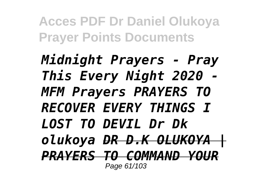*Midnight Prayers - Pray This Every Night 2020 - MFM Prayers PRAYERS TO RECOVER EVERY THINGS I LOST TO DEVIL Dr Dk olukoya DR D.K OLUKOYA |* **PRAYERS TO COMMAND YOUR** Page 61/103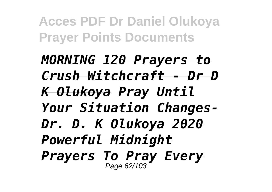*MORNING 120 Prayers to Crush Witchcraft - Dr D K Olukoya Pray Until Your Situation Changes-Dr. D. K Olukoya 2020 Powerful Midnight Prayers To Pray Every* Page 62/103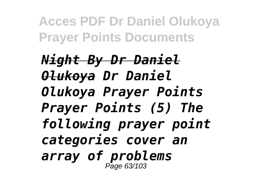*Night By Dr Daniel Olukoya Dr Daniel Olukoya Prayer Points Prayer Points (5) The following prayer point categories cover an array of problems* Page 63/103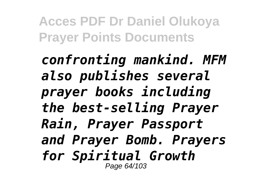*confronting mankind. MFM also publishes several prayer books including the best-selling Prayer Rain, Prayer Passport and Prayer Bomb. Prayers for Spiritual Growth* Page 64/103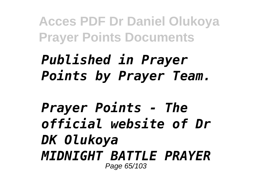# *Published in Prayer Points by Prayer Team.*

*Prayer Points - The official website of Dr DK Olukoya MIDNIGHT BATTLE PRAYER* Page 65/103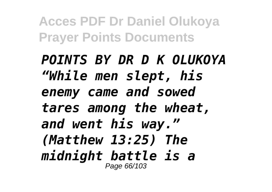*POINTS BY DR D K OLUKOYA "While men slept, his enemy came and sowed tares among the wheat, and went his way." (Matthew 13:25) The midnight battle is a* Page 66/103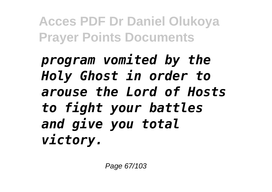*program vomited by the Holy Ghost in order to arouse the Lord of Hosts to fight your battles and give you total victory.*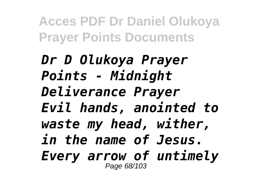*Dr D Olukoya Prayer Points - Midnight Deliverance Prayer Evil hands, anointed to waste my head, wither, in the name of Jesus. Every arrow of untimely* Page 68/103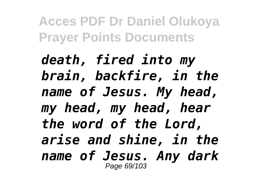*death, fired into my brain, backfire, in the name of Jesus. My head, my head, my head, hear the word of the Lord, arise and shine, in the name of Jesus. Any dark* Page 69/103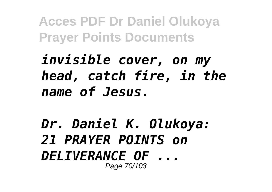*invisible cover, on my head, catch fire, in the name of Jesus.*

*Dr. Daniel K. Olukoya: 21 PRAYER POINTS on DELIVERANCE OF ...* Page 70/103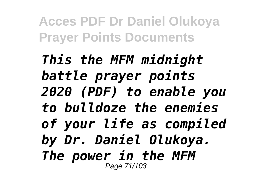*This the MFM midnight battle prayer points 2020 (PDF) to enable you to bulldoze the enemies of your life as compiled by Dr. Daniel Olukoya. The power in the MFM* Page 71/103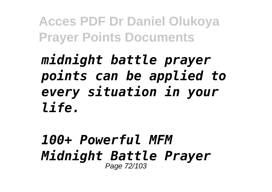# *midnight battle prayer points can be applied to every situation in your life.*

#### *100+ Powerful MFM Midnight Battle Prayer* Page 72/103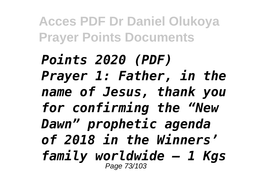*Points 2020 (PDF) Prayer 1: Father, in the name of Jesus, thank you for confirming the "New Dawn" prophetic agenda of 2018 in the Winners' family worldwide – 1 Kgs* Page 73/103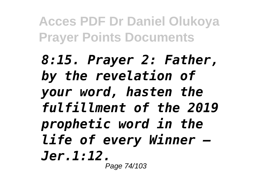*8:15. Prayer 2: Father, by the revelation of your word, hasten the fulfillment of the 2019 prophetic word in the life of every Winner – Jer.1:12.* Page 74/103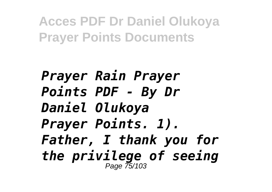*Prayer Rain Prayer Points PDF - By Dr Daniel Olukoya Prayer Points. 1). Father, I thank you for the privilege of seeing* Page 75/103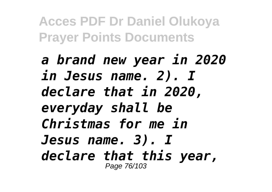*a brand new year in 2020 in Jesus name. 2). I declare that in 2020, everyday shall be Christmas for me in Jesus name. 3). I declare that this year,* Page 76/103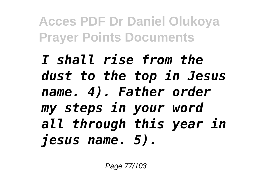*I shall rise from the dust to the top in Jesus name. 4). Father order my steps in your word all through this year in jesus name. 5).*

Page 77/103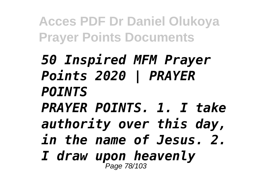*50 Inspired MFM Prayer Points 2020 | PRAYER POINTS PRAYER POINTS. 1. I take authority over this day, in the name of Jesus. 2. I draw upon heavenly* Page 78/103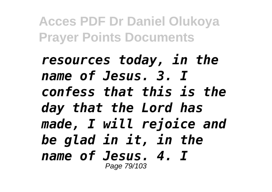*resources today, in the name of Jesus. 3. I confess that this is the day that the Lord has made, I will rejoice and be glad in it, in the name of Jesus. 4. I* Page 79/103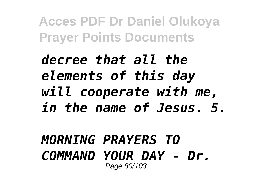## *decree that all the elements of this day will cooperate with me, in the name of Jesus. 5.*

#### *MORNING PRAYERS TO COMMAND YOUR DAY - Dr.* Page 80/103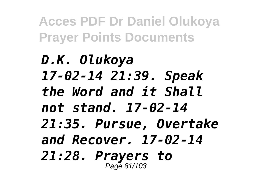*D.K. Olukoya 17-02-14 21:39. Speak the Word and it Shall not stand. 17-02-14 21:35. Pursue, Overtake and Recover. 17-02-14 21:28. Prayers to* Page 81/103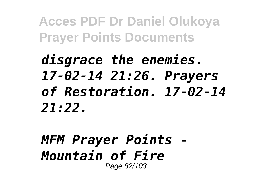# *disgrace the enemies. 17-02-14 21:26. Prayers of Restoration. 17-02-14 21:22.*

### *MFM Prayer Points - Mountain of Fire* Page 82/103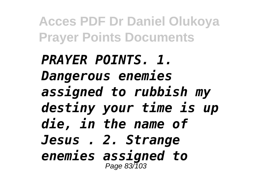*PRAYER POINTS. 1. Dangerous enemies assigned to rubbish my destiny your time is up die, in the name of Jesus . 2. Strange enemies assigned to* Page 83/103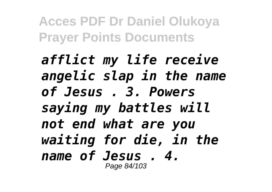*afflict my life receive angelic slap in the name of Jesus . 3. Powers saying my battles will not end what are you waiting for die, in the name of Jesus . 4.* Page 84/103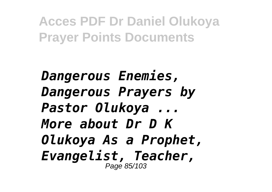*Dangerous Enemies, Dangerous Prayers by Pastor Olukoya ... More about Dr D K Olukoya As a Prophet, Evangelist, Teacher,* Page 85/103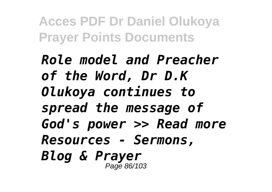*Role model and Preacher of the Word, Dr D.K Olukoya continues to spread the message of God's power >> Read more Resources - Sermons, Blog & Prayer* Page 86/103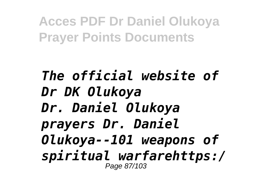### *The official website of Dr DK Olukoya Dr. Daniel Olukoya prayers Dr. Daniel Olukoya--101 weapons of spiritual warfarehttps:/* Page 87/103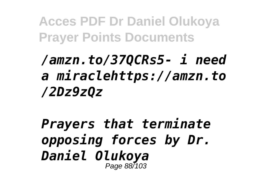# */amzn.to/37QCRs5- i need a miraclehttps://amzn.to /2Dz9zQz*

*Prayers that terminate opposing forces by Dr. Daniel Olukoya* Page 88/103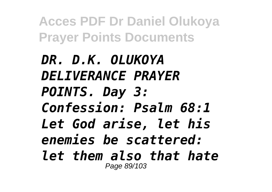*DR. D.K. OLUKOYA DELIVERANCE PRAYER POINTS. Day 3: Confession: Psalm 68:1 Let God arise, let his enemies be scattered: let them also that hate* Page 89/103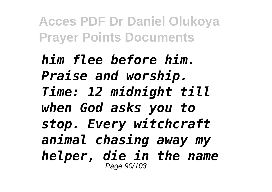*him flee before him. Praise and worship. Time: 12 midnight till when God asks you to stop. Every witchcraft animal chasing away my helper, die in the name* Page 90/103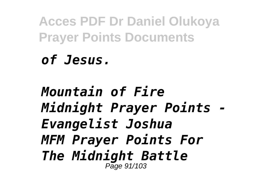## *of Jesus.*

### *Mountain of Fire Midnight Prayer Points - Evangelist Joshua MFM Prayer Points For The Midnight Battle* Page 91/103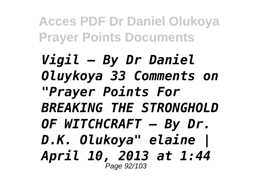*Vigil – By Dr Daniel Oluykoya 33 Comments on "Prayer Points For BREAKING THE STRONGHOLD OF WITCHCRAFT – By Dr. D.K. Olukoya" elaine | April 10, 2013 at 1:44* Page 92/103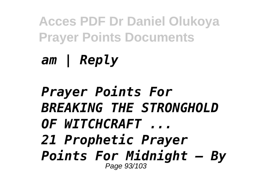*am | Reply*

*Prayer Points For BREAKING THE STRONGHOLD OF WITCHCRAFT ... 21 Prophetic Prayer Points For Midnight – By* Page 93/103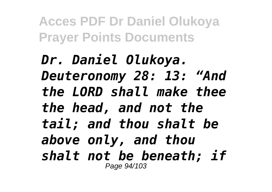*Dr. Daniel Olukoya. Deuteronomy 28: 13: "And the LORD shall make thee the head, and not the tail; and thou shalt be above only, and thou shalt not be beneath; if* Page 94/103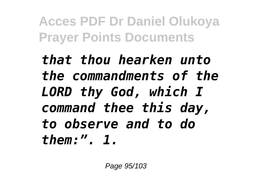*that thou hearken unto the commandments of the LORD thy God, which I command thee this day, to observe and to do them:". 1.*

Page 95/103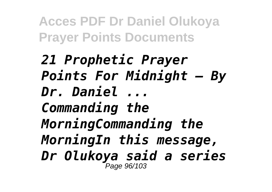*21 Prophetic Prayer Points For Midnight – By Dr. Daniel ... Commanding the MorningCommanding the MorningIn this message, Dr Olukoya said a series* Page 96/103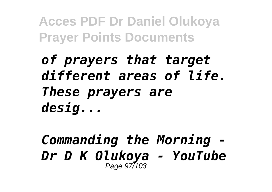## *of prayers that target different areas of life. These prayers are desig...*

### *Commanding the Morning - Dr D K Olukoya - YouTube* Page 97/103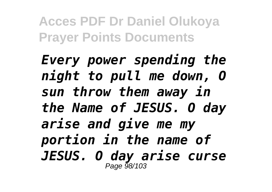*Every power spending the night to pull me down, O sun throw them away in the Name of JESUS. O day arise and give me my portion in the name of JESUS. O day arise curse* Page 98/103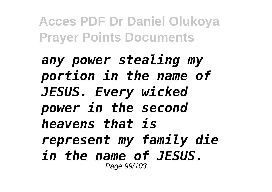*any power stealing my portion in the name of JESUS. Every wicked power in the second heavens that is represent my family die in the name of JESUS.* Page 99/103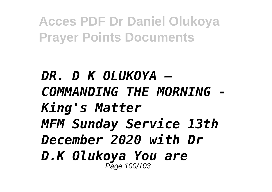*DR. D K OLUKOYA – COMMANDING THE MORNING - King's Matter MFM Sunday Service 13th December 2020 with Dr D.K Olukoya You are* Page 100/103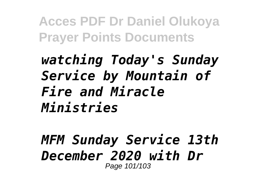## *watching Today's Sunday Service by Mountain of Fire and Miracle Ministries*

#### *MFM Sunday Service 13th December 2020 with Dr* Page 101/103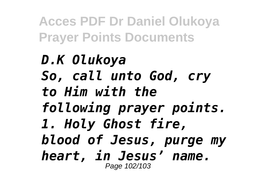## *D.K Olukoya So, call unto God, cry to Him with the following prayer points. 1. Holy Ghost fire, blood of Jesus, purge my heart, in Jesus' name.* Page 102/103